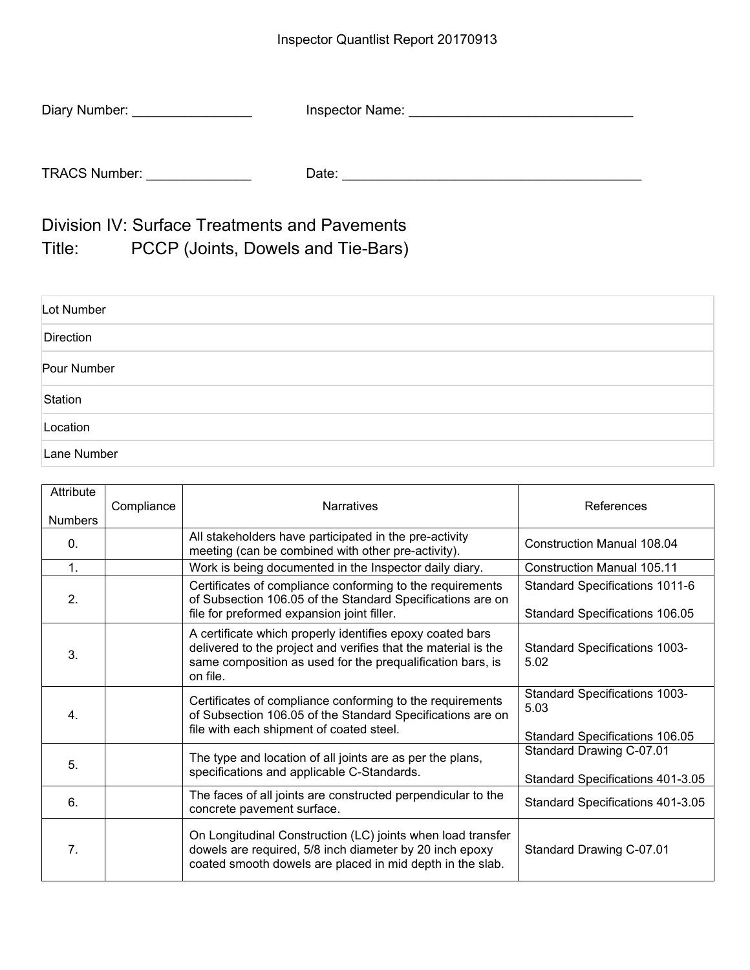| Diary Number:        | Inspector Name: |  |
|----------------------|-----------------|--|
|                      |                 |  |
| <b>TRACS Number:</b> | Date:           |  |

Division IV: Surface Treatments and Pavements Title: PCCP (Joints, Dowels and Tie-Bars)

| Lot Number  |  |
|-------------|--|
| Direction   |  |
| Pour Number |  |
| Station     |  |
| Location    |  |
| Lane Number |  |

| Attribute<br><b>Numbers</b> | Compliance | <b>Narratives</b>                                                                                                                                                                                     | References                                                                            |
|-----------------------------|------------|-------------------------------------------------------------------------------------------------------------------------------------------------------------------------------------------------------|---------------------------------------------------------------------------------------|
| $\Omega$ .                  |            | All stakeholders have participated in the pre-activity<br>meeting (can be combined with other pre-activity).                                                                                          | <b>Construction Manual 108.04</b>                                                     |
| 1.                          |            | Work is being documented in the Inspector daily diary.                                                                                                                                                | Construction Manual 105.11                                                            |
| 2.                          |            | Certificates of compliance conforming to the requirements<br>of Subsection 106.05 of the Standard Specifications are on<br>file for preformed expansion joint filler.                                 | <b>Standard Specifications 1011-6</b><br><b>Standard Specifications 106.05</b>        |
| 3.                          |            | A certificate which properly identifies epoxy coated bars<br>delivered to the project and verifies that the material is the<br>same composition as used for the prequalification bars, is<br>on file. | <b>Standard Specifications 1003-</b><br>5.02                                          |
| 4.                          |            | Certificates of compliance conforming to the requirements<br>of Subsection 106.05 of the Standard Specifications are on<br>file with each shipment of coated steel.                                   | <b>Standard Specifications 1003-</b><br>5.03<br><b>Standard Specifications 106.05</b> |
| 5.                          |            | The type and location of all joints are as per the plans,<br>specifications and applicable C-Standards.                                                                                               | Standard Drawing C-07.01<br>Standard Specifications 401-3.05                          |
| 6.                          |            | The faces of all joints are constructed perpendicular to the<br>concrete pavement surface.                                                                                                            | Standard Specifications 401-3.05                                                      |
| 7.                          |            | On Longitudinal Construction (LC) joints when load transfer<br>dowels are required, 5/8 inch diameter by 20 inch epoxy<br>coated smooth dowels are placed in mid depth in the slab.                   | Standard Drawing C-07.01                                                              |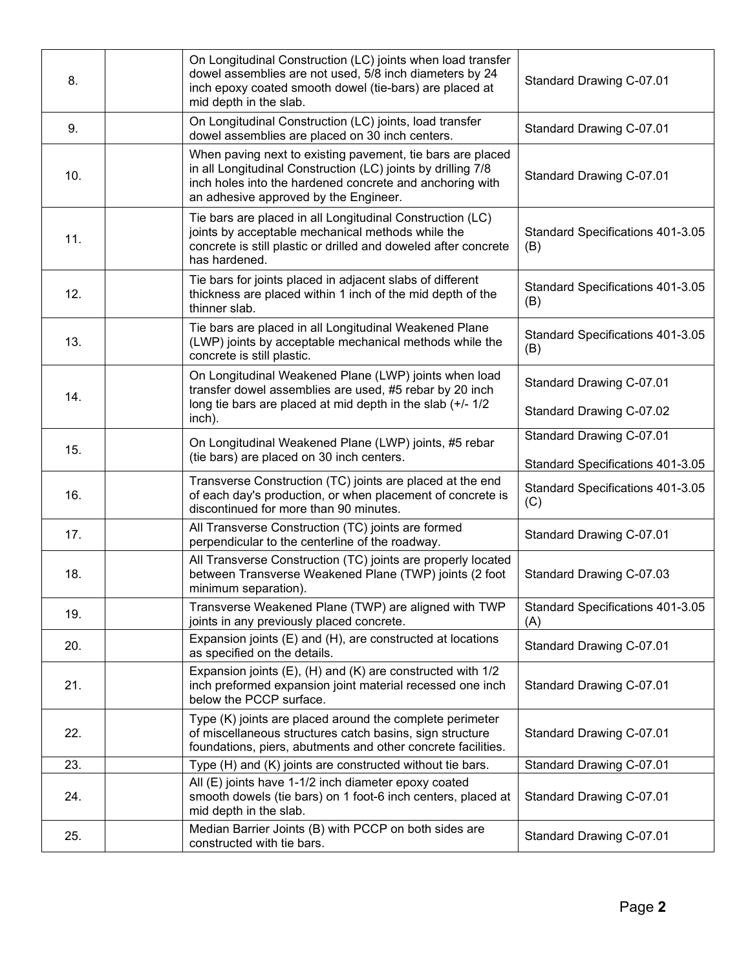| 8.  | On Longitudinal Construction (LC) joints when load transfer<br>dowel assemblies are not used, 5/8 inch diameters by 24<br>inch epoxy coated smooth dowel (tie-bars) are placed at<br>mid depth in the slab.                     | Standard Drawing C-07.01                |
|-----|---------------------------------------------------------------------------------------------------------------------------------------------------------------------------------------------------------------------------------|-----------------------------------------|
| 9.  | On Longitudinal Construction (LC) joints, load transfer<br>dowel assemblies are placed on 30 inch centers.                                                                                                                      | Standard Drawing C-07.01                |
| 10. | When paving next to existing pavement, tie bars are placed<br>in all Longitudinal Construction (LC) joints by drilling 7/8<br>inch holes into the hardened concrete and anchoring with<br>an adhesive approved by the Engineer. | Standard Drawing C-07.01                |
| 11. | Tie bars are placed in all Longitudinal Construction (LC)<br>joints by acceptable mechanical methods while the<br>concrete is still plastic or drilled and doweled after concrete<br>has hardened.                              | Standard Specifications 401-3.05<br>(B) |
| 12. | Tie bars for joints placed in adjacent slabs of different<br>thickness are placed within 1 inch of the mid depth of the<br>thinner slab.                                                                                        | Standard Specifications 401-3.05<br>(B) |
| 13. | Tie bars are placed in all Longitudinal Weakened Plane<br>(LWP) joints by acceptable mechanical methods while the<br>concrete is still plastic.                                                                                 | Standard Specifications 401-3.05<br>(B) |
| 14. | On Longitudinal Weakened Plane (LWP) joints when load<br>transfer dowel assemblies are used, #5 rebar by 20 inch                                                                                                                | Standard Drawing C-07.01                |
|     | long tie bars are placed at mid depth in the slab (+/- 1/2<br>inch).                                                                                                                                                            | Standard Drawing C-07.02                |
| 15. | On Longitudinal Weakened Plane (LWP) joints, #5 rebar<br>(tie bars) are placed on 30 inch centers.                                                                                                                              | Standard Drawing C-07.01                |
|     |                                                                                                                                                                                                                                 | Standard Specifications 401-3.05        |
| 16. | Transverse Construction (TC) joints are placed at the end<br>of each day's production, or when placement of concrete is<br>discontinued for more than 90 minutes.                                                               | Standard Specifications 401-3.05<br>(C) |
| 17. | All Transverse Construction (TC) joints are formed<br>perpendicular to the centerline of the roadway.                                                                                                                           | Standard Drawing C-07.01                |
| 18. | All Transverse Construction (TC) joints are properly located<br>between Transverse Weakened Plane (TWP) joints (2 foot<br>minimum separation).                                                                                  | Standard Drawing C-07.03                |
| 19. | Transverse Weakened Plane (TWP) are aligned with TWP<br>joints in any previously placed concrete.                                                                                                                               | Standard Specifications 401-3.05<br>(A) |
| 20. | Expansion joints (E) and (H), are constructed at locations<br>as specified on the details.                                                                                                                                      | Standard Drawing C-07.01                |
| 21. | Expansion joints $(E)$ , $(H)$ and $(K)$ are constructed with $1/2$<br>inch preformed expansion joint material recessed one inch<br>below the PCCP surface.                                                                     | Standard Drawing C-07.01                |
| 22. | Type (K) joints are placed around the complete perimeter<br>of miscellaneous structures catch basins, sign structure<br>foundations, piers, abutments and other concrete facilities.                                            | Standard Drawing C-07.01                |
| 23. | Type (H) and (K) joints are constructed without tie bars.                                                                                                                                                                       | Standard Drawing C-07.01                |
| 24. | All (E) joints have 1-1/2 inch diameter epoxy coated<br>smooth dowels (tie bars) on 1 foot-6 inch centers, placed at<br>mid depth in the slab.                                                                                  | Standard Drawing C-07.01                |
| 25. | Median Barrier Joints (B) with PCCP on both sides are<br>constructed with tie bars.                                                                                                                                             | Standard Drawing C-07.01                |